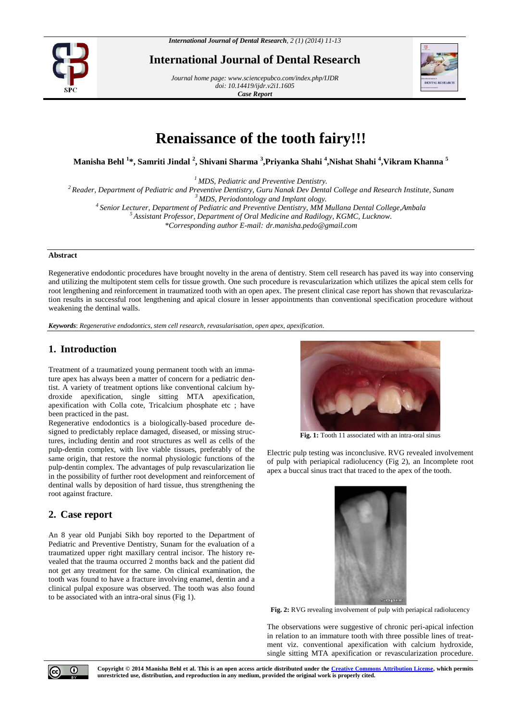

**International Journal of Dental Research**

*Journal home page[: www.sciencepubco.com/index.php/IJDR](http://www.sciencepubco.com/index.php/IJDR) doi: 10.14419/ijdr.v2i1.1605 Case Report*



# **Renaissance of the tooth fairy!!!**

**Manisha Behl <sup>1</sup> \*, Samriti Jindal <sup>2</sup> , Shivani Sharma <sup>3</sup> ,Priyanka Shahi <sup>4</sup> ,Nishat Shahi <sup>4</sup> ,Vikram Khanna <sup>5</sup>**

*<sup>1</sup> MDS, Pediatric and Preventive Dentistry.*

*<sup>2</sup> Reader, Department of Pediatric and Preventive Dentistry, Guru Nanak Dev Dental College and Research Institute, Sunam*

*<sup>3</sup> MDS, Periodontology and Implant ology.*

*4 Senior Lecturer, Department of Pediatric and Preventive Dentistry, MM Mullana Dental College,Ambala*

*<sup>5</sup> Assistant Professor, Department of Oral Medicine and Radilogy, KGMC, Lucknow.*

*\*Corresponding author E-mail: dr.manisha.pedo@gmail.com*

#### **Abstract**

Regenerative endodontic procedures have brought novelty in the arena of dentistry. Stem cell research has paved its way into conserving and utilizing the multipotent stem cells for tissue growth. One such procedure is revascularization which utilizes the apical stem cells for root lengthening and reinforcement in traumatized tooth with an open apex. The present clinical case report has shown that revascularization results in successful root lengthening and apical closure in lesser appointments than conventional specification procedure without weakening the dentinal walls.

*Keywords*: *Regenerative endodontics, stem cell research, revasularisation, open apex, apexification.*

## **1. Introduction**

Treatment of a traumatized young permanent tooth with an immature apex has always been a matter of concern for a pediatric dentist. A variety of treatment options like conventional calcium hydroxide apexification, single sitting MTA apexification, apexification with Colla cote, Tricalcium phosphate etc ; have been practiced in the past.

Regenerative endodontics is a biologically-based procedure designed to predictably replace damaged, diseased, or missing structures, including dentin and root structures as well as cells of the pulp-dentin complex, with live viable tissues, preferably of the same origin, that restore the normal physiologic functions of the pulp-dentin complex. The advantages of pulp revascularization lie in the possibility of further root development and reinforcement of dentinal walls by deposition of hard tissue, thus strengthening the root against fracture.

## **2. Case report**

An 8 year old Punjabi Sikh boy reported to the Department of Pediatric and Preventive Dentistry, Sunam for the evaluation of a traumatized upper right maxillary central incisor. The history revealed that the trauma occurred 2 months back and the patient did not get any treatment for the same. On clinical examination, the tooth was found to have a fracture involving enamel, dentin and a clinical pulpal exposure was observed. The tooth was also found to be associated with an intra-oral sinus (Fig 1).



**Fig. 1:** Tooth 11 associated with an intra-oral sinus

Electric pulp testing was inconclusive. RVG revealed involvement of pulp with periapical radiolucency (Fig 2), an Incomplete root apex a buccal sinus tract that traced to the apex of the tooth.



**Fig. 2:** RVG revealing involvement of pulp with periapical radiolucency

The observations were suggestive of chronic peri-apical infection in relation to an immature tooth with three possible lines of treatment viz. conventional apexification with calcium hydroxide, single sitting MTA apexification or revascularization procedure.



**Copyright © 2014 Manisha Behl et al. This is an open access article distributed under the Creative Commons Attribution License, which permits unrestricted use, distribution, and reproduction in any medium, provided the original work is properly cited.**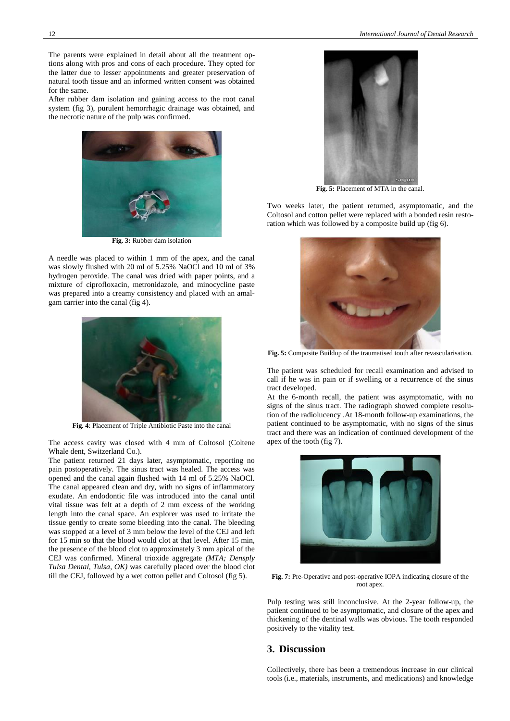The parents were explained in detail about all the treatment options along with pros and cons of each procedure. They opted for the latter due to lesser appointments and greater preservation of natural tooth tissue and an informed written consent was obtained for the same.

After rubber dam isolation and gaining access to the root canal system (fig 3), purulent hemorrhagic drainage was obtained, and the necrotic nature of the pulp was confirmed.



**Fig. 3:** Rubber dam isolation

A needle was placed to within 1 mm of the apex, and the canal was slowly flushed with 20 ml of 5.25% NaOCl and 10 ml of 3% hydrogen peroxide. The canal was dried with paper points, and a mixture of ciprofloxacin, metronidazole, and minocycline paste was prepared into a creamy consistency and placed with an amalgam carrier into the canal (fig 4).



**Fig. 4**: Placement of Triple Antibiotic Paste into the canal

The access cavity was closed with 4 mm of Coltosol (Coltene Whale dent, Switzerland Co.).

The patient returned 21 days later, asymptomatic, reporting no pain postoperatively. The sinus tract was healed. The access was opened and the canal again flushed with 14 ml of 5.25% NaOCl. The canal appeared clean and dry, with no signs of inflammatory exudate. An endodontic file was introduced into the canal until vital tissue was felt at a depth of 2 mm excess of the working length into the canal space. An explorer was used to irritate the tissue gently to create some bleeding into the canal. The bleeding was stopped at a level of 3 mm below the level of the CEJ and left for 15 min so that the blood would clot at that level. After 15 min, the presence of the blood clot to approximately 3 mm apical of the CEJ was confirmed. Mineral trioxide aggregate *(MTA; Densply Tulsa Dental, Tulsa, OK)* was carefully placed over the blood clot till the CEJ, followed by a wet cotton pellet and Coltosol (fig 5).



**Fig. 5:** Placement of MTA in the canal.

Two weeks later, the patient returned, asymptomatic, and the Coltosol and cotton pellet were replaced with a bonded resin restoration which was followed by a composite build up (fig 6).



**Fig. 5:** Composite Buildup of the traumatised tooth after revascularisation.

The patient was scheduled for recall examination and advised to call if he was in pain or if swelling or a recurrence of the sinus tract developed.

At the 6-month recall, the patient was asymptomatic, with no signs of the sinus tract. The radiograph showed complete resolution of the radiolucency .At 18-month follow-up examinations, the patient continued to be asymptomatic, with no signs of the sinus tract and there was an indication of continued development of the apex of the tooth (fig 7).



**Fig. 7:** Pre-Operative and post-operative IOPA indicating closure of the root apex.

Pulp testing was still inconclusive. At the 2-year follow-up, the patient continued to be asymptomatic, and closure of the apex and thickening of the dentinal walls was obvious. The tooth responded positively to the vitality test.

#### **3. Discussion**

Collectively, there has been a tremendous increase in our clinical tools (i.e., materials, instruments, and medications) and knowledge